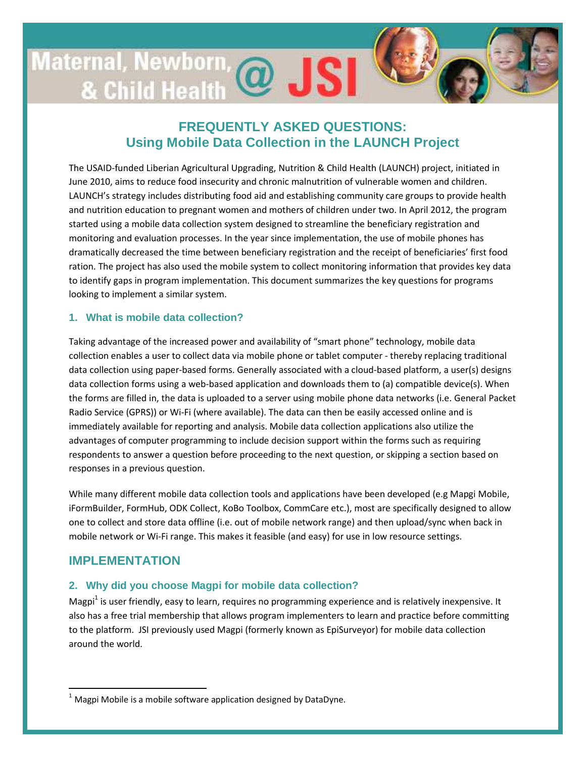# Maternal, Newborn @ JSI

# **FREQUENTLY ASKED QUESTIONS: Using Mobile Data Collection in the LAUNCH Project**

The USAID-funded Liberian Agricultural Upgrading, Nutrition & Child Health (LAUNCH) project, initiated in June 2010, aims to reduce food insecurity and chronic malnutrition of vulnerable women and children. LAUNCH's strategy includes distributing food aid and establishing community care groups to provide health and nutrition education to pregnant women and mothers of children under two. In April 2012, the program started using a mobile data collection system designed to streamline the beneficiary registration and monitoring and evaluation processes. In the year since implementation, the use of mobile phones has dramatically decreased the time between beneficiary registration and the receipt of beneficiaries' first food ration. The project has also used the mobile system to collect monitoring information that provides key data to identify gaps in program implementation. This document summarizes the key questions for programs looking to implement a similar system.

# **1. What is mobile data collection?**

Taking advantage of the increased power and availability of "smart phone" technology, mobile data collection enables a user to collect data via mobile phone or tablet computer - thereby replacing traditional data collection using paper-based forms. Generally associated with a cloud-based platform, a user(s) designs data collection forms using a web-based application and downloads them to (a) compatible device(s). When the forms are filled in, the data is uploaded to a server using mobile phone data networks (i.e. General Packet Radio Service (GPRS)) or Wi-Fi (where available). The data can then be easily accessed online and is immediately available for reporting and analysis. Mobile data collection applications also utilize the advantages of computer programming to include decision support within the forms such as requiring respondents to answer a question before proceeding to the next question, or skipping a section based on responses in a previous question.

While many different mobile data collection tools and applications have been developed (e.g Mapgi Mobile, iFormBuilder, FormHub, ODK Collect, KoBo Toolbox, CommCare etc.), most are specifically designed to allow one to collect and store data offline (i.e. out of mobile network range) and then upload/sync when back in mobile network or Wi-Fi range. This makes it feasible (and easy) for use in low resource settings.

# **IMPLEMENTATION**

<u>.</u>

# **2. Why did you choose Magpi for mobile data collection?**

Magpi<sup>1</sup> is user friendly, easy to learn, requires no programming experience and is relatively inexpensive. It also has a free trial membership that allows program implementers to learn and practice before committing to the platform. JSI previously used Magpi (formerly known as EpiSurveyor) for mobile data collection around the world.

 $1$  Magpi Mobile is a mobile software application designed by DataDyne.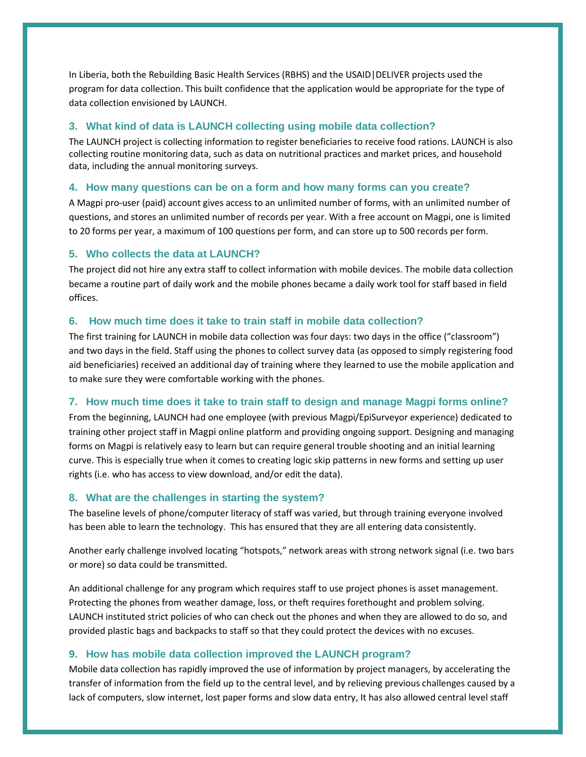In Liberia, both the Rebuilding Basic Health Services (RBHS) and the USAID|DELIVER projects used the program for data collection. This built confidence that the application would be appropriate for the type of data collection envisioned by LAUNCH.

#### **3. What kind of data is LAUNCH collecting using mobile data collection?**

The LAUNCH project is collecting information to register beneficiaries to receive food rations. LAUNCH is also collecting routine monitoring data, such as data on nutritional practices and market prices, and household data, including the annual monitoring surveys.

#### **4. How many questions can be on a form and how many forms can you create?**

A Magpi pro-user (paid) account gives access to an unlimited number of forms, with an unlimited number of questions, and stores an unlimited number of records per year. With a free account on Magpi, one is limited to 20 forms per year, a maximum of 100 questions per form, and can store up to 500 records per form.

#### **5. Who collects the data at LAUNCH?**

The project did not hire any extra staff to collect information with mobile devices. The mobile data collection became a routine part of daily work and the mobile phones became a daily work tool for staff based in field offices.

#### **6. How much time does it take to train staff in mobile data collection?**

The first training for LAUNCH in mobile data collection was four days: two days in the office ("classroom") and two days in the field. Staff using the phones to collect survey data (as opposed to simply registering food aid beneficiaries) received an additional day of training where they learned to use the mobile application and to make sure they were comfortable working with the phones.

## **7. How much time does it take to train staff to design and manage Magpi forms online?**

From the beginning, LAUNCH had one employee (with previous Magpi/EpiSurveyor experience) dedicated to training other project staff in Magpi online platform and providing ongoing support. Designing and managing forms on Magpi is relatively easy to learn but can require general trouble shooting and an initial learning curve. This is especially true when it comes to creating logic skip patterns in new forms and setting up user rights (i.e. who has access to view download, and/or edit the data).

#### **8. What are the challenges in starting the system?**

The baseline levels of phone/computer literacy of staff was varied, but through training everyone involved has been able to learn the technology. This has ensured that they are all entering data consistently.

Another early challenge involved locating "hotspots," network areas with strong network signal (i.e. two bars or more) so data could be transmitted.

An additional challenge for any program which requires staff to use project phones is asset management. Protecting the phones from weather damage, loss, or theft requires forethought and problem solving. LAUNCH instituted strict policies of who can check out the phones and when they are allowed to do so, and provided plastic bags and backpacks to staff so that they could protect the devices with no excuses.

#### **9. How has mobile data collection improved the LAUNCH program?**

Mobile data collection has rapidly improved the use of information by project managers, by accelerating the transfer of information from the field up to the central level, and by relieving previous challenges caused by a lack of computers, slow internet, lost paper forms and slow data entry, It has also allowed central level staff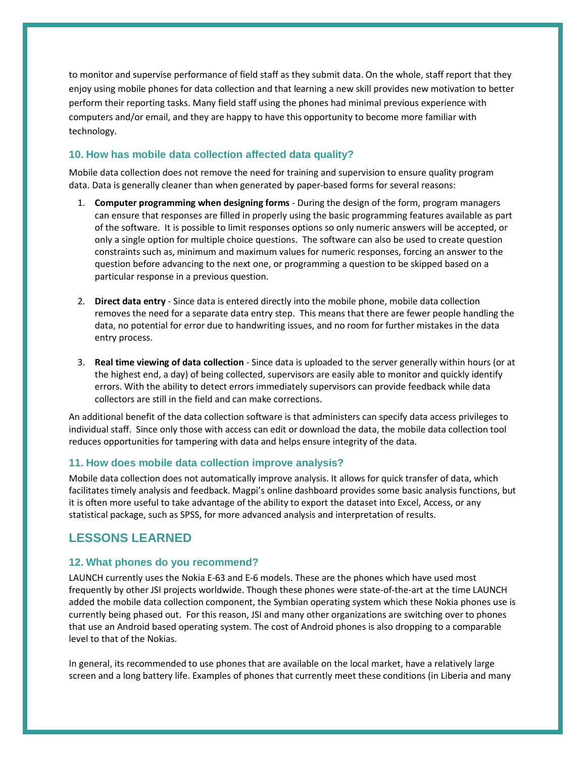to monitor and supervise performance of field staff as they submit data. On the whole, staff report that they enjoy using mobile phones for data collection and that learning a new skill provides new motivation to better perform their reporting tasks. Many field staff using the phones had minimal previous experience with computers and/or email, and they are happy to have this opportunity to become more familiar with technology.

# **10. How has mobile data collection affected data quality?**

Mobile data collection does not remove the need for training and supervision to ensure quality program data. Data is generally cleaner than when generated by paper-based forms for several reasons:

- 1. Computer programming when designing forms During the design of the form, program managers can ensure that responses are filled in properly using the basic programming features available as part of the software. It is possible to limit responses options so only numeric answers will be accepted, or only a single option for multiple choice questions. The software can also be used to create question constraints such as, minimum and maximum values for numeric responses, forcing an answer to the question before advancing to the next one, or programming a question to be skipped based on a particular response in a previous question.
- 2. Direct data entry Since data is entered directly into the mobile phone, mobile data collection removes the need for a separate data entry step. This means that there are fewer people handling the data, no potential for error due to handwriting issues, and no room for further mistakes in the data entry process.
- 3. Real time viewing of data collection Since data is uploaded to the server generally within hours (or at the highest end, a day) of being collected, supervisors are easily able to monitor and quickly identify errors. With the ability to detect errors immediately supervisors can provide feedback while data collectors are still in the field and can make corrections.

An additional benefit of the data collection software is that administers can specify data access privileges to individual staff. Since only those with access can edit or download the data, the mobile data collection tool reduces opportunities for tampering with data and helps ensure integrity of the data.

## **11. How does mobile data collection improve analysis?**

Mobile data collection does not automatically improve analysis. It allows for quick transfer of data, which facilitates timely analysis and feedback. Magpi's online dashboard provides some basic analysis functions, but it is often more useful to take advantage of the ability to export the dataset into Excel, Access, or any statistical package, such as SPSS, for more advanced analysis and interpretation of results.

# **LESSONS LEARNED**

## **12. What phones do you recommend?**

LAUNCH currently uses the Nokia E-63 and E-6 models. These are the phones which have used most frequently by other JSI projects worldwide. Though these phones were state-of-the-art at the time LAUNCH added the mobile data collection component, the Symbian operating system which these Nokia phones use is currently being phased out. For this reason, JSI and many other organizations are switching over to phones that use an Android based operating system. The cost of Android phones is also dropping to a comparable level to that of the Nokias.

In general, its recommended to use phones that are available on the local market, have a relatively large screen and a long battery life. Examples of phones that currently meet these conditions (in Liberia and many